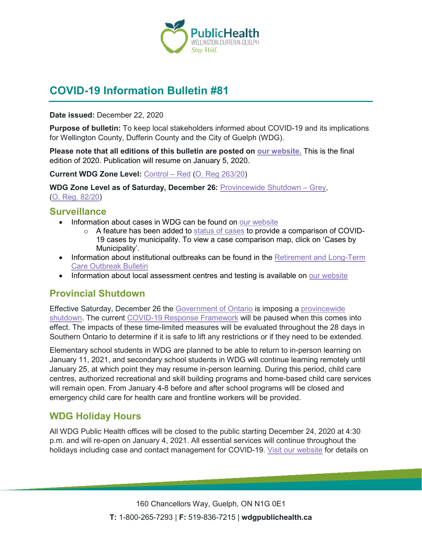

# **COVID-19 Information Bulletin #81**

**Date issued:** December 22, 2020

**Purpose of bulletin:** To keep local stakeholders informed about COVID-19 and its implications for Wellington County, Dufferin County and the City of Guelph (WDG).

**Please note that all editions of this bulletin are posted on [our website.](https://www.wdgpublichealth.ca/your-health/covid-19-information-workplaces-and-living-spaces/community-stakeholder-bulletins)** This is the final edition of 2020. Publication will resume on January 5, 2020.

**Current WDG Zone Level:** [Control](https://www.ontario.ca/page/covid-19-response-framework-keeping-ontario-safe-and-open#control) – Red [\(O. Reg](https://www.ontario.ca/laws/regulation/200263) 263/20)

**WDG Zone Level as of Saturday, December 26:** [Provincewide Shutdown –](https://www.ontario.ca/page/covid-19-provincewide-shutdown) Grey, (O. Reg. [82/20\)](https://www.ontario.ca/laws/regulation/200082)

#### **Surveillance**

- Information about cases in WDG can be found on [our website](https://wdgpublichealth.ca/your-health/covid-19-information-public/status-cases-wdg)
	- $\circ$  A feature has been added to [status of cases](https://wdgpublichealth.ca/your-health/covid-19-information-public/status-cases-wdg) to provide a comparison of COVID-19 cases by municipality. To view a case comparison map, click on 'Cases by Municipality'.
- Information about institutional outbreaks can be found in the Retirement and Long-Term [Care Outbreak Bulletin](https://wdgpublichealth.ca/node/1542)
- Information about local assessment centres and testing is available on [our website](https://www.wdgpublichealth.ca/your-health/covid-19-information-public/assessment-centres-wdg)

## **Provincial Shutdown**

Effective Saturday, December 26 the [Government of Ontario](https://news.ontario.ca/en/release/59790/ontario-announces-provincewide-shutdown-to-stop-spread-of-covid-19-and-save-lives) is imposing a [provincewide](https://www.ontario.ca/page/covid-19-provincewide-shutdown)  [shutdown.](https://www.ontario.ca/page/covid-19-provincewide-shutdown) The current [COVID-19 Response Framework](https://www.ontario.ca/page/covid-19-response-framework-keeping-ontario-safe-and-open) will be paused when this comes into effect. The impacts of these time-limited measures will be evaluated throughout the 28 days in Southern Ontario to determine if it is safe to lift any restrictions or if they need to be extended.

Elementary school students in WDG are planned to be able to return to in-person learning on January 11, 2021, and secondary school students in WDG will continue learning remotely until January 25, at which point they may resume in-person learning. During this period, child care centres, authorized recreational and skill building programs and home-based child care services will remain open. From January 4-8 before and after school programs will be closed and emergency child care for health care and frontline workers will be provided.

### **WDG Holiday Hours**

All WDG Public Health offices will be closed to the public starting December 24, 2020 at 4:30 p.m. and will re-open on January 4, 2021. All essential services will continue throughout the holidays including case and contact management for COVID-19. [Visit our website](https://www.wdgpublichealth.ca/news/2020-21-december-and-january-holiday-hours-public-health) for details on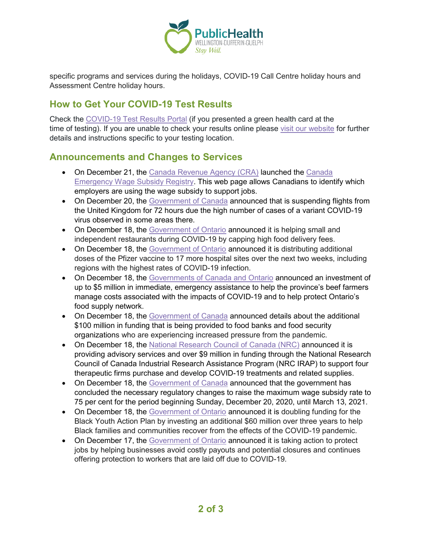

specific programs and services during the holidays, COVID-19 Call Centre holiday hours and Assessment Centre holiday hours.

### **How to Get Your COVID-19 Test Results**

Check the [COVID-19](https://covid19results.ehealthontario.ca:4443/agree) Test Results Portal (if you presented a green health card at the time of testing). If you are unable to check your results online please [visit our website](https://www.wdgpublichealth.ca/your-health/covid-19-information-public/how-get-your-covid-19-test-result) for further details and instructions specific to your testing location.

### **Announcements and Changes to Services**

- On December 21, the [Canada Revenue Agency \(CRA\)](https://www.canada.ca/en/revenue-agency/news/2020/12/canada-revenue-agency-launches-the-canada-emergency-wage-subsidy-registry.html) launched the Canada [Emergency Wage Subsidy Registry.](https://www.canada.ca/en/revenue-agency/services/subsidy/emergency-wage-subsidy.html) This web page allows Canadians to identify which employers are using the wage subsidy to support jobs.
- On December 20, the [Government of Canada](https://www.canada.ca/en/public-health/news/2020/12/canada-suspends-flights-from-the-united-kingdom-for-72-hours.html) announced that is suspending flights from the United Kingdom for 72 hours due the high number of cases of a variant COVID-19 virus observed in some areas there.
- On December 18, the [Government of Ontario](https://news.ontario.ca/en/release/59761/ontario-caps-food-delivery-fees-to-protect-small-businesses) announced it is helping small and independent restaurants during COVID-19 by capping high food delivery fees.
- On December 18, the [Government of Ontario](https://news.ontario.ca/en/release/59753/ontario-expands-covid-19-vaccine-locations) announced it is distributing additional doses of the Pfizer vaccine to 17 more hospital sites over the next two weeks, including regions with the highest rates of COVID-19 infection.
- On December 18, the [Governments of Canada and Ontario](https://www.canada.ca/en/agriculture-agri-food/news/2020/12/governments-support-beef-farmers-and-protect-food-supply-chains.html) announced an investment of up to \$5 million in immediate, emergency assistance to help the province's beef farmers manage costs associated with the impacts of COVID-19 and to help protect Ontario's food supply network.
- On December 18, the [Government of Canada](https://www.canada.ca/en/agriculture-agri-food/news/2020/12/government-of-canada-rolling-out-100m-in-added-support-to-food-security-organizations-during-covid-19-pandemic.html) announced details about the additional \$100 million in funding that is being provided to food banks and food security organizations who are experiencing increased pressure from the pandemic.
- On December 18, the [National Research Council of Canada \(NRC\)](https://www.canada.ca/en/national-research-council/news/2020/12/national-research-council-of-canada-supports-development-of-4-covid-19-therapeutic-candidates.html) announced it is providing advisory services and over \$9 million in funding through the National Research Council of Canada Industrial Research Assistance Program (NRC IRAP) to support four therapeutic firms purchase and develop COVID-19 treatments and related supplies.
- On December 18, the [Government of Canada](https://www.canada.ca/en/department-finance/news/2020/12/government-announces-wage-subsidy-rate-increase-to-75-per-cent.html) announced that the government has concluded the necessary regulatory changes to raise the maximum wage subsidy rate to 75 per cent for the period beginning Sunday, December 20, 2020, until March 13, 2021.
- On December 18, the [Government of Ontario](https://news.ontario.ca/en/release/59757/ontario-investing-in-new-opportunities-for-black-youth) announced it is doubling funding for the Black Youth Action Plan by investing an additional \$60 million over three years to help Black families and communities recover from the effects of the COVID-19 pandemic.
- On December 17, the [Government of Ontario](https://news.ontario.ca/en/release/59745/ontario-supports-employers-and-employees-impacted-by-covid-19) announced it is taking action to protect jobs by helping businesses avoid costly payouts and potential closures and continues offering protection to workers that are laid off due to COVID-19.